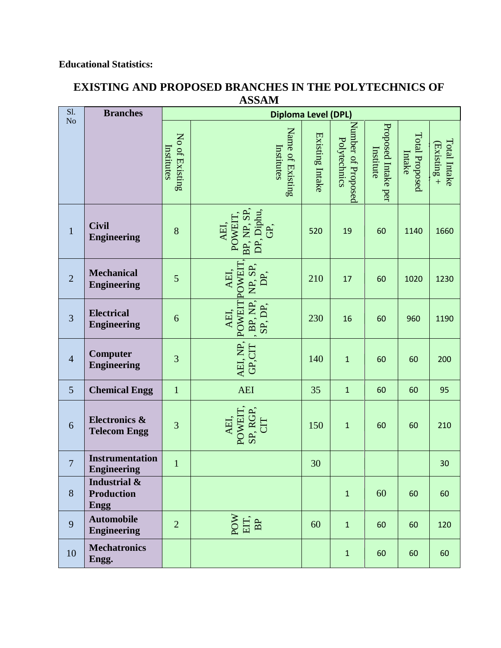## **Educational Statistics:**

| Sl.<br>No      | <b>Branches</b>                                  | <b>Diploma Level (DPL)</b>   |                                                   |                 |                                    |                                  |                          |                               |
|----------------|--------------------------------------------------|------------------------------|---------------------------------------------------|-----------------|------------------------------------|----------------------------------|--------------------------|-------------------------------|
|                |                                                  | No of Existing<br>Institutes | Name of Existing<br>Institutes                    | Existing Intake | Number of Proposed<br>Polytechnics | Proposed Intake per<br>Institute | Total Proposed<br>Intake | Total Intake<br>$(Existing +$ |
| $\mathbf{1}$   | <b>Civil</b><br><b>Engineering</b>               | 8                            | BP, NP, SP<br>DP, Diphu,<br>POWEIT<br>AEI,<br>GP, | 520             | 19                                 | 60                               | 1140                     | 1660                          |
| $\overline{2}$ | <b>Mechanical</b><br><b>Engineering</b>          | 5                            | POWEIT<br>NP, SP,<br>AEI,<br>ЭÉ<br>С              | 210             | 17                                 | 60                               | 1020                     | 1230                          |
| $\overline{3}$ | <b>Electrical</b><br><b>Engineering</b>          | 6                            | , BP, NP,<br>POWEIT<br>SP, DP,<br>AEI,            | 230             | 16                                 | 60                               | 960                      | 1190                          |
| $\overline{4}$ | Computer<br><b>Engineering</b>                   | 3                            | AEI, NP,<br>GP,CIT                                | 140             | $\mathbf{1}$                       | 60                               | 60                       | 200                           |
| 5              | <b>Chemical Engg</b>                             | $\mathbf{1}$                 | <b>AEI</b>                                        | 35              | $\mathbf 1$                        | 60                               | 60                       | 95                            |
| 6              | <b>Electronics &amp;</b><br><b>Telecom Engg</b>  | 3                            | SP, RGP,<br>POWEIT<br>AEI,                        | 150             | $\mathbf{1}$                       | 60                               | 60                       | 210                           |
| $\overline{7}$ | <b>Instrumentation</b><br><b>Engineering</b>     | $\mathbf{1}$                 |                                                   | 30              |                                    |                                  |                          | 30                            |
| $8\phantom{.}$ | Industrial &<br><b>Production</b><br><b>Engg</b> |                              |                                                   |                 | $\mathbf 1$                        | 60                               | 60                       | 60                            |
| 9              | <b>Automobile</b><br><b>Engineering</b>          | $\overline{2}$               | POW<br>EIT,<br>BP                                 | 60              | $\mathbf{1}$                       | 60                               | 60                       | 120                           |
| 10             | <b>Mechatronics</b><br>Engg.                     |                              |                                                   |                 | $\mathbf{1}$                       | 60                               | 60                       | 60                            |

## **EXISTING AND PROPOSED BRANCHES IN THE POLYTECHNICS OF ASSAM**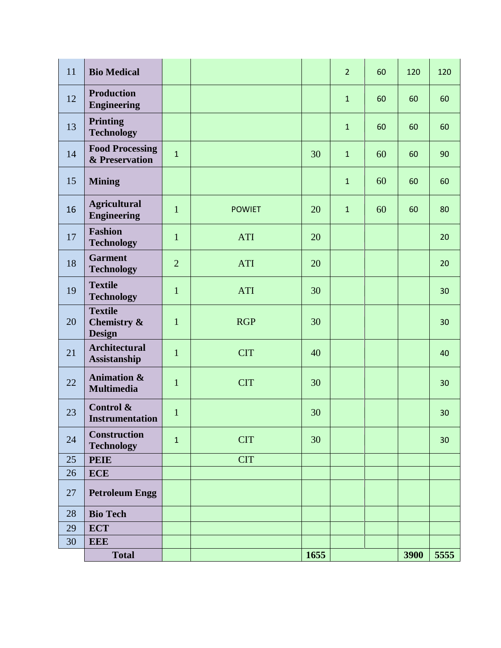| 11 | <b>Bio Medical</b>                             |                |               |      | $\overline{2}$ | 60 | 120  | 120  |
|----|------------------------------------------------|----------------|---------------|------|----------------|----|------|------|
| 12 | <b>Production</b><br><b>Engineering</b>        |                |               |      | $\mathbf{1}$   | 60 | 60   | 60   |
| 13 | <b>Printing</b><br><b>Technology</b>           |                |               |      | $\mathbf{1}$   | 60 | 60   | 60   |
| 14 | <b>Food Processing</b><br>& Preservation       | $\mathbf{1}$   |               | 30   | $\mathbf{1}$   | 60 | 60   | 90   |
| 15 | <b>Mining</b>                                  |                |               |      | $\mathbf{1}$   | 60 | 60   | 60   |
| 16 | <b>Agricultural</b><br><b>Engineering</b>      | $\mathbf{1}$   | <b>POWIET</b> | 20   | $\mathbf{1}$   | 60 | 60   | 80   |
| 17 | <b>Fashion</b><br><b>Technology</b>            | $\mathbf{1}$   | <b>ATI</b>    | 20   |                |    |      | 20   |
| 18 | <b>Garment</b><br><b>Technology</b>            | $\overline{2}$ | <b>ATI</b>    | 20   |                |    |      | 20   |
| 19 | <b>Textile</b><br><b>Technology</b>            | $\mathbf{1}$   | <b>ATI</b>    | 30   |                |    |      | 30   |
| 20 | <b>Textile</b><br>Chemistry &<br><b>Design</b> | $\mathbf{1}$   | <b>RGP</b>    | 30   |                |    |      | 30   |
| 21 | <b>Architectural</b><br>Assistanship           | $\mathbf{1}$   | <b>CIT</b>    | 40   |                |    |      | 40   |
| 22 | <b>Animation &amp;</b><br><b>Multimedia</b>    | $\mathbf{1}$   | <b>CIT</b>    | 30   |                |    |      | 30   |
| 23 | Control &<br><b>Instrumentation</b>            | $\mathbf{1}$   |               | 30   |                |    |      | 30   |
| 24 | Construction<br><b>Technology</b>              | $\mathbf{1}$   | <b>CIT</b>    | 30   |                |    |      | 30   |
| 25 | <b>PEIE</b>                                    |                | <b>CIT</b>    |      |                |    |      |      |
| 26 | <b>ECE</b>                                     |                |               |      |                |    |      |      |
| 27 | <b>Petroleum Engg</b>                          |                |               |      |                |    |      |      |
| 28 | <b>Bio Tech</b>                                |                |               |      |                |    |      |      |
| 29 | <b>ECT</b>                                     |                |               |      |                |    |      |      |
| 30 | <b>EEE</b>                                     |                |               |      |                |    |      |      |
|    | <b>Total</b>                                   |                |               | 1655 |                |    | 3900 | 5555 |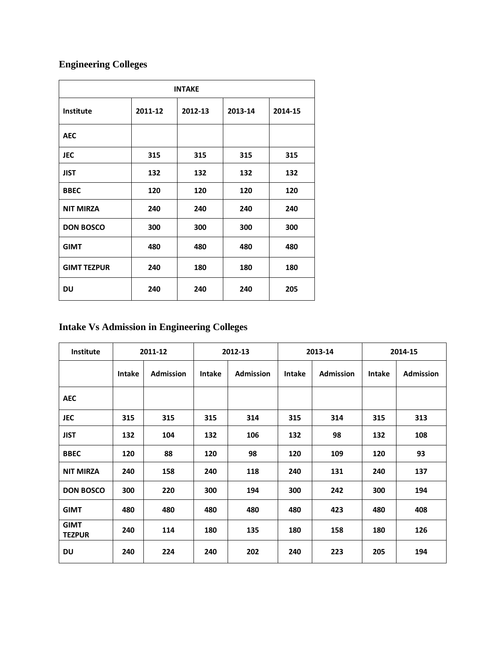## **Engineering Colleges**

| <b>INTAKE</b>      |         |         |         |         |  |  |  |  |
|--------------------|---------|---------|---------|---------|--|--|--|--|
| <b>Institute</b>   | 2011-12 | 2012-13 | 2013-14 | 2014-15 |  |  |  |  |
| <b>AEC</b>         |         |         |         |         |  |  |  |  |
| <b>JEC</b>         | 315     | 315     | 315     | 315     |  |  |  |  |
| <b>JIST</b>        | 132     | 132     | 132     | 132     |  |  |  |  |
| <b>BBEC</b>        | 120     | 120     | 120     | 120     |  |  |  |  |
| <b>NIT MIRZA</b>   | 240     | 240     | 240     | 240     |  |  |  |  |
| <b>DON BOSCO</b>   | 300     | 300     | 300     | 300     |  |  |  |  |
| <b>GIMT</b>        | 480     | 480     | 480     | 480     |  |  |  |  |
| <b>GIMT TEZPUR</b> | 240     | 180     | 180     | 180     |  |  |  |  |
| DU                 | 240     | 240     | 240     | 205     |  |  |  |  |

## **Intake Vs Admission in Engineering Colleges**

| Institute                    | 2011-12       |                  | 2012-13       |                  | 2013-14       |                  | 2014-15       |                  |
|------------------------------|---------------|------------------|---------------|------------------|---------------|------------------|---------------|------------------|
|                              | <b>Intake</b> | <b>Admission</b> | <b>Intake</b> | <b>Admission</b> | <b>Intake</b> | <b>Admission</b> | <b>Intake</b> | <b>Admission</b> |
| <b>AEC</b>                   |               |                  |               |                  |               |                  |               |                  |
| <b>JEC</b>                   | 315           | 315              | 315           | 314              | 315           | 314              | 315           | 313              |
| <b>JIST</b>                  | 132           | 104              | 132           | 106              | 132           | 98               | 132           | 108              |
| <b>BBEC</b>                  | 120           | 88               | 120           | 98               | 120           | 109              | 120           | 93               |
| <b>NIT MIRZA</b>             | 240           | 158              | 240           | 118              | 240           | 131              | 240           | 137              |
| <b>DON BOSCO</b>             | 300           | 220              | 300           | 194              | 300           | 242              | 300           | 194              |
| <b>GIMT</b>                  | 480           | 480              | 480           | 480              | 480           | 423              | 480           | 408              |
| <b>GIMT</b><br><b>TEZPUR</b> | 240           | 114              | 180           | 135              | 180           | 158              | 180           | 126              |
| <b>DU</b>                    | 240           | 224              | 240           | 202              | 240           | 223              | 205           | 194              |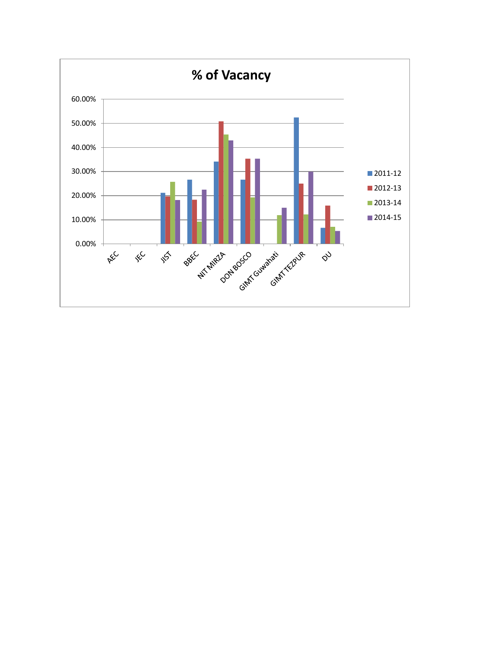